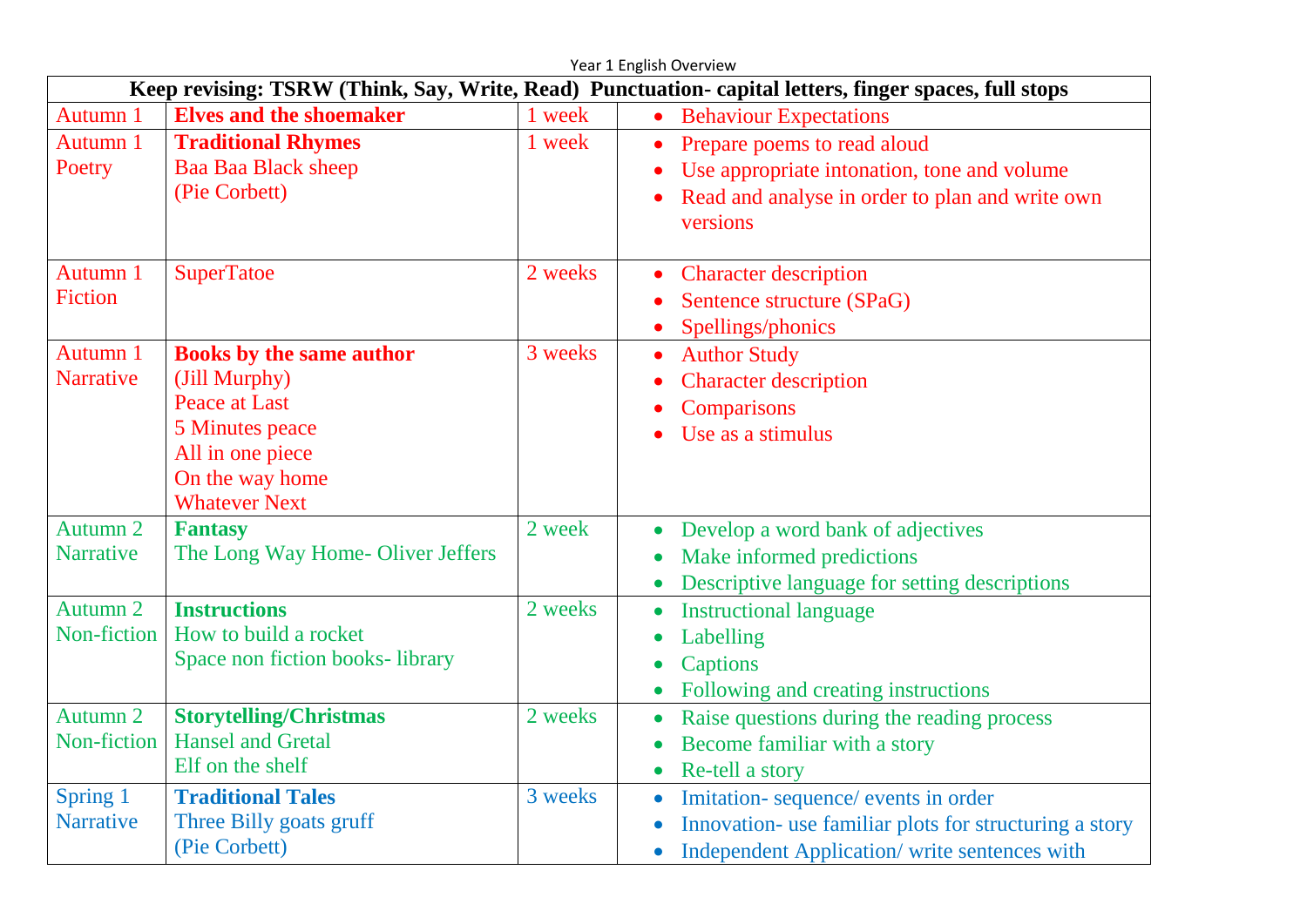|                                                                                                       | Year 1 English Overview                                                                                                                             |         |                                                                                                                                                                         |  |  |  |
|-------------------------------------------------------------------------------------------------------|-----------------------------------------------------------------------------------------------------------------------------------------------------|---------|-------------------------------------------------------------------------------------------------------------------------------------------------------------------------|--|--|--|
| Keep revising: TSRW (Think, Say, Write, Read) Punctuation- capital letters, finger spaces, full stops |                                                                                                                                                     |         |                                                                                                                                                                         |  |  |  |
| Autumn 1                                                                                              | <b>Elves and the shoemaker</b>                                                                                                                      | 1 week  | • Behaviour Expectations                                                                                                                                                |  |  |  |
| Autumn 1<br>Poetry                                                                                    | <b>Traditional Rhymes</b><br><b>Baa Baa Black sheep</b><br>(Pie Corbett)                                                                            | 1 week  | Prepare poems to read aloud<br>Use appropriate intonation, tone and volume<br>Read and analyse in order to plan and write own<br>versions                               |  |  |  |
| Autumn 1<br><b>Fiction</b>                                                                            | <b>SuperTatoe</b>                                                                                                                                   | 2 weeks | <b>Character description</b><br>$\bullet$<br>Sentence structure (SPaG)<br>$\bullet$<br>Spellings/phonics                                                                |  |  |  |
| Autumn 1<br><b>Narrative</b>                                                                          | <b>Books by the same author</b><br>(Jill Murphy)<br>Peace at Last<br>5 Minutes peace<br>All in one piece<br>On the way home<br><b>Whatever Next</b> | 3 weeks | <b>Author Study</b><br>$\bullet$<br><b>Character description</b><br>Comparisons<br>Use as a stimulus                                                                    |  |  |  |
| Autumn 2<br><b>Narrative</b>                                                                          | <b>Fantasy</b><br>The Long Way Home-Oliver Jeffers                                                                                                  | 2 week  | Develop a word bank of adjectives<br>$\bullet$<br>Make informed predictions<br>$\bullet$<br>Descriptive language for setting descriptions                               |  |  |  |
| Autumn 2<br>Non-fiction                                                                               | <b>Instructions</b><br>How to build a rocket<br>Space non fiction books-library                                                                     | 2 weeks | <b>Instructional language</b><br>$\bullet$<br>Labelling<br>$\bullet$<br>Captions<br>$\bullet$<br>Following and creating instructions<br>$\bullet$                       |  |  |  |
| Autumn 2<br>Non-fiction                                                                               | <b>Storytelling/Christmas</b><br><b>Hansel and Gretal</b><br>Elf on the shelf                                                                       | 2 weeks | Raise questions during the reading process<br>$\bullet$<br>Become familiar with a story<br>$\bullet$<br>Re-tell a story<br>$\bullet$                                    |  |  |  |
| Spring 1<br><b>Narrative</b>                                                                          | <b>Traditional Tales</b><br>Three Billy goats gruff<br>(Pie Corbett)                                                                                | 3 weeks | Imitation-sequence/events in order<br>$\bullet$<br>Innovation- use familiar plots for structuring a story<br>Independent Application/ write sentences with<br>$\bullet$ |  |  |  |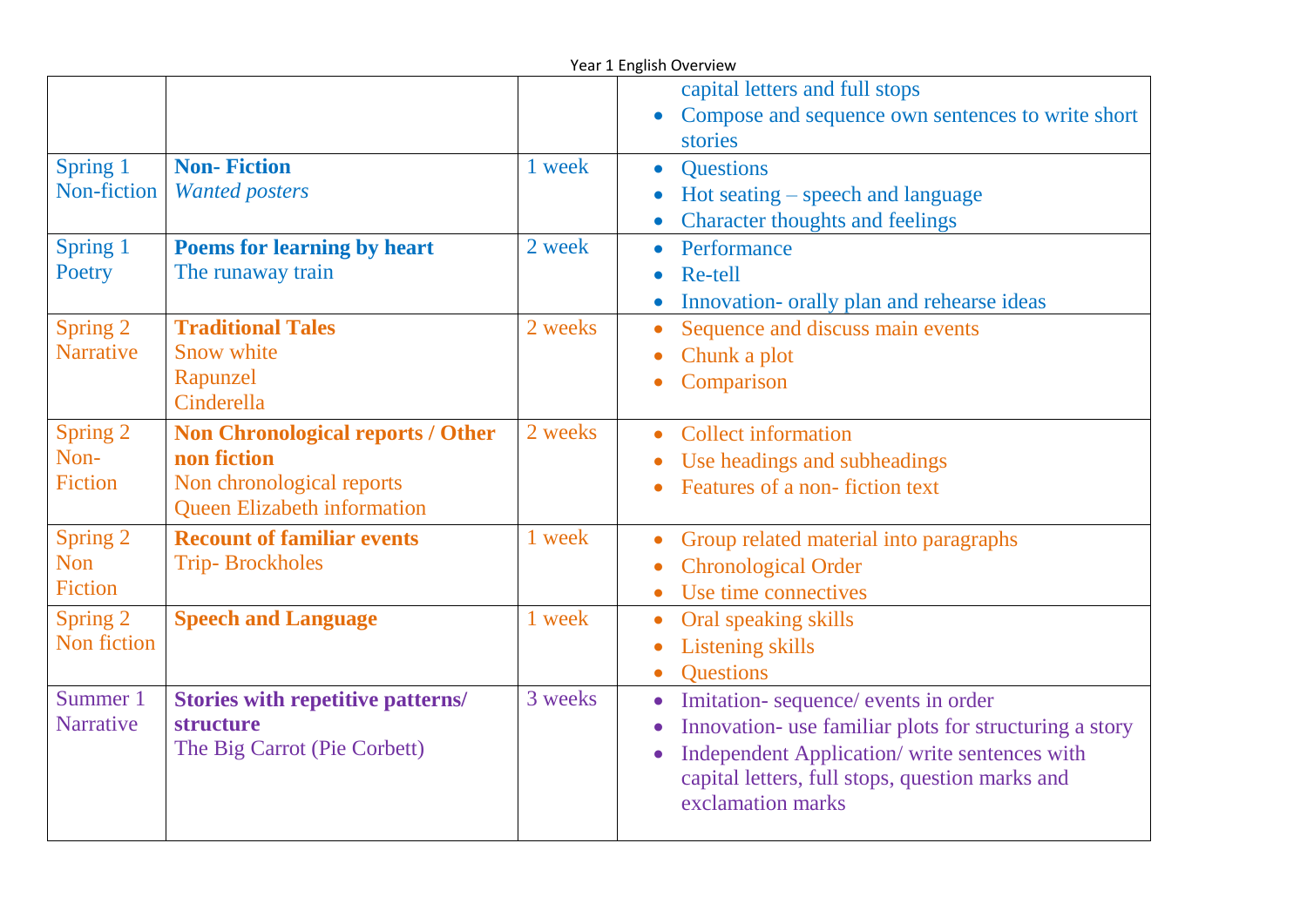|                                    | Year 1 English Overview                                                                                                    |         |                                                                                                                                                                                                                                                              |  |  |
|------------------------------------|----------------------------------------------------------------------------------------------------------------------------|---------|--------------------------------------------------------------------------------------------------------------------------------------------------------------------------------------------------------------------------------------------------------------|--|--|
|                                    |                                                                                                                            |         | capital letters and full stops<br>Compose and sequence own sentences to write short<br>$\bullet$<br>stories                                                                                                                                                  |  |  |
| Spring 1<br>Non-fiction            | <b>Non-Fiction</b><br><b>Wanted posters</b>                                                                                | 1 week  | <b>Questions</b><br>$\bullet$<br>$Hot$ seating $-$ speech and language<br><b>Character thoughts and feelings</b><br>$\bullet$                                                                                                                                |  |  |
| Spring 1<br>Poetry                 | <b>Poems for learning by heart</b><br>The runaway train                                                                    | 2 week  | Performance<br>$\bullet$<br>Re-tell<br>$\bullet$<br>Innovation- orally plan and rehearse ideas                                                                                                                                                               |  |  |
| Spring 2<br><b>Narrative</b>       | <b>Traditional Tales</b><br>Snow white<br>Rapunzel<br>Cinderella                                                           | 2 weeks | Sequence and discuss main events<br>$\bullet$<br>Chunk a plot<br>$\bullet$<br>Comparison<br>$\bullet$                                                                                                                                                        |  |  |
| Spring 2<br>Non-<br><b>Fiction</b> | <b>Non Chronological reports / Other</b><br>non fiction<br>Non chronological reports<br><b>Queen Elizabeth information</b> | 2 weeks | <b>Collect information</b><br>$\bullet$<br>Use headings and subheadings<br>$\bullet$<br>Features of a non-fiction text                                                                                                                                       |  |  |
| Spring 2<br>Non<br><b>Fiction</b>  | <b>Recount of familiar events</b><br><b>Trip-Brockholes</b>                                                                | 1 week  | Group related material into paragraphs<br><b>Chronological Order</b><br>Use time connectives                                                                                                                                                                 |  |  |
| Spring 2<br>Non fiction            | <b>Speech and Language</b>                                                                                                 | 1 week  | Oral speaking skills<br>$\bullet$<br><b>Listening skills</b><br>$\bullet$<br><b>Ouestions</b><br>$\bullet$                                                                                                                                                   |  |  |
| Summer 1<br><b>Narrative</b>       | <b>Stories with repetitive patterns/</b><br>structure<br>The Big Carrot (Pie Corbett)                                      | 3 weeks | Imitation-sequence/events in order<br>$\bullet$<br>Innovation- use familiar plots for structuring a story<br>$\bullet$<br>Independent Application/ write sentences with<br>$\bullet$<br>capital letters, full stops, question marks and<br>exclamation marks |  |  |